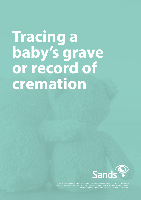# **Tracing a baby's grave or record of cremation**



nds (Stillbirth and Neonatal Death Society). Charity Registered in Scotland Scotland Scotland Scotland Scotland Wales 299679. We also operate in Northern Ireland. Company Limited by Guarantee Number: 2212082. Registered Address: CAN Mezzanine, 49-51 East Road, London, N16AH.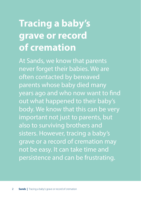# **Tracing a baby's grave or record of cremation**

At Sands, we know that parents never forget their babies. We are often contacted by bereaved parents whose baby died many years ago and who now want to find out what happened to their baby's body. We know that this can be very important not just to parents, but also to surviving brothers and sisters. However, tracing a baby's grave or a record of cremation may not be easy. It can take time and persistence and can be frustrating.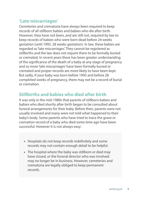### **'Late miscarriages'**

Cemeteries and crematoria have always been required to keep records of all stillborn babies and babies who die after birth. However, they have not been, and are still not, required by law to keep records of babies who were born dead before 24 weeks gestation (until 1992, 28 weeks gestation). In law, these babies are regarded as 'late miscarriages'. They cannot be registered as stillbirths and the law does not require them to be formally buried or cremated. In recent years there has been greater understanding of the significance of the death of a baby at any stage of pregnancy and so more 'late miscarriages' have been formally buried or cremated and proper records are more likely to have been kept. But sadly, if your baby was born before 1992 and before 28 completed weeks of pregnancy, there may not be a record of burial or cremation.

## **Stillbirths and babies who died after birth**

It was only in the mid-1980s that parents of stillborn babies and babies who died shortly after birth began to be consulted about funeral arrangements for their baby. Before then, parents were not usually involved and many were not told what happened to their baby's body. Some parents who have tried to trace the grave or cremation record of a baby who died some time ago have been successful. However it is not always easy:

- Hospitals do not keep records indefinitely and some records may not contain enough detail to be helpful.
- The hospital where the baby was stillborn or died may have closed, or the funeral director who was involved may no longer be in business. However, cemeteries and crematoria are legally obliged to keep permanent records.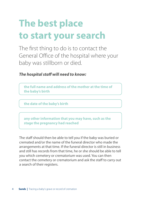# **The best place to start your search**

The first thing to do is to contact the General Office of the hospital where your baby was stillborn or died.

### *The hospital staff will need to know:*

**the full name and address of the mother at the time of the baby's birth**

**the date of the baby's birth**

**any other information that you may have, such as the stage the pregnancy had reached**

The staff should then be able to tell you if the baby was buried or cremated and/or the name of the funeral director who made the arrangements at that time. If the funeral director is still in business and still has records from that time, he or she should be able to tell you which cemetery or crematorium was used. You can then contact the cemetery or crematorium and ask the staff to carry out a search of their registers.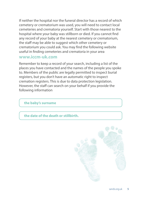If neither the hospital nor the funeral director has a record of which cemetery or crematorium was used, you will need to contact local cemeteries and crematoria yourself. Start with those nearest to the hospital where your baby was stillborn or died. If you cannot find any record of your baby at the nearest cemetery or crematorium, the staff may be able to suggest which other cemetery or crematorium you could ask. You may find the following website useful in finding cemeteries and crematoria in your area

#### **[www.iccm-uk.com](http://www.iccm-uk.com)**

Remember to keep a record of your search, including a list of the places you have contacted and the names of the people you spoke to. Members of the public are legally permitted to inspect burial registers, but you don't have an automatic right to inspect cremation registers. This is due to data protection legislation. However, the staff can search on your behalf if you provide the following information

#### **the baby's surname**

#### **the date of the death or stillbirth.**

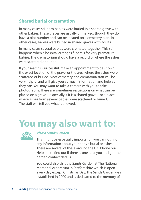## **Shared burial or cremation**

In many cases stillborn babies were buried in a shared grave with other babies. These graves are usually unmarked, though they do have a plot number and can be located on a cemetery plan. In other cases, babies were buried in shared graves with adults.

In many cases several babies were cremated together. This still happens when a hospital arranges funerals for very premature babies. The crematorium should have a record of where the ashes were scattered or buried.

If your search is successful, make an appointment to be shown the exact location of the grave, or the area where the ashes were scattered or buried. Most cemetery and crematoria staff will be very helpful and will give you as much information and help as they can. You may want to take a camera with you to take photographs. There are sometimes restrictions on what can be placed on a grave – especially if it is a shared grave – or a place where ashes from several babies were scattered or buried. The staff will tell you what is allowed.

# **You may also want to:**



#### *Visit a Sands Garden*

This might be especially important if you cannot find any information about your baby's burial or ashes. There are several of these around the UK. Phone our Helpline to find out if there is one near you and get the garden contact details.

You could also visit the Sands Garden at The National Memorial Arboretum in Staffordshire which is open every day except Christmas Day. The Sands Garden was established in 2000 and is dedicated to the memory of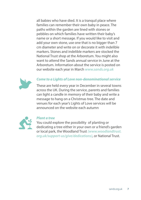all babies who have died. It is a tranquil place where families can remember their own baby in peace. The paths within the garden are lined with stones or pebbles on which families have written their baby's name or a short message. If you would like to visit and add your own stone, use one that is no bigger than 7 cm diameter and write on or decorate it with indelible markers. Stones and indelible markers are stocked the National Trust shop at the Arboretum. You might also want to attend the Sands annual service in June at the Arboretum. Information about the service is posted on our website each year in March *[www.sands.org.uk](http://www.sands.org.uk)*



#### *Come to a Lights of Love non-denominational service*

These are held every year in December in several towns across the UK. During the service, parents and families can light a candle in memory of their baby and write a message to hang on a Christmas tree. The date and venues for each year's Lights of Love services will be announced on the website each autumn



#### *Plant a tree*

You could explore the possibility of planting or dedicating a tree either in your own or a friend's garden or local park, the Woodland Trust *[\(www.woodlandtrust.](http://www.woodlandtrust.org.uk/support-us/give/dedications) [org.uk/support-us/give/dedications\)](http://www.woodlandtrust.org.uk/support-us/give/dedications)*, or National Trust.